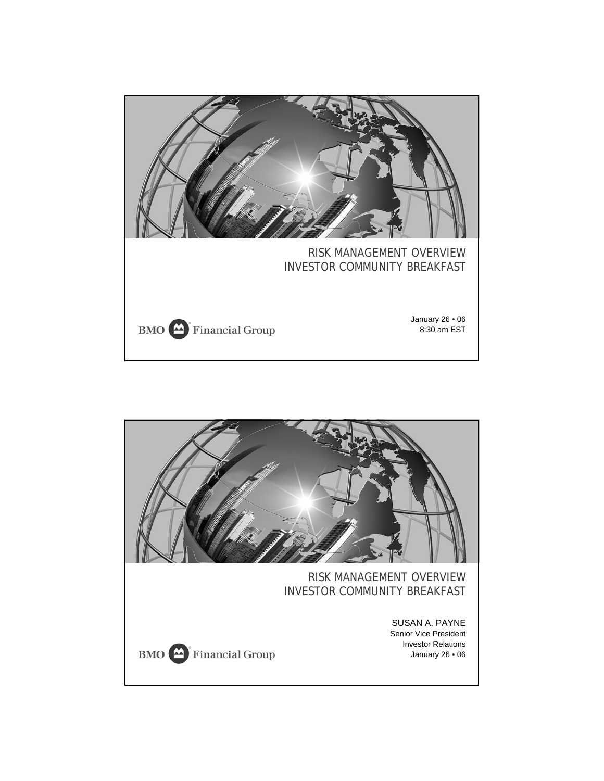

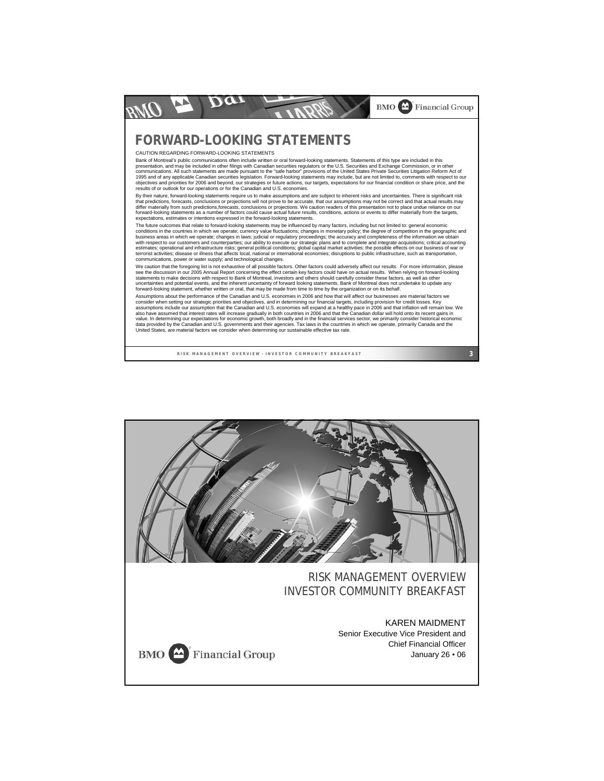

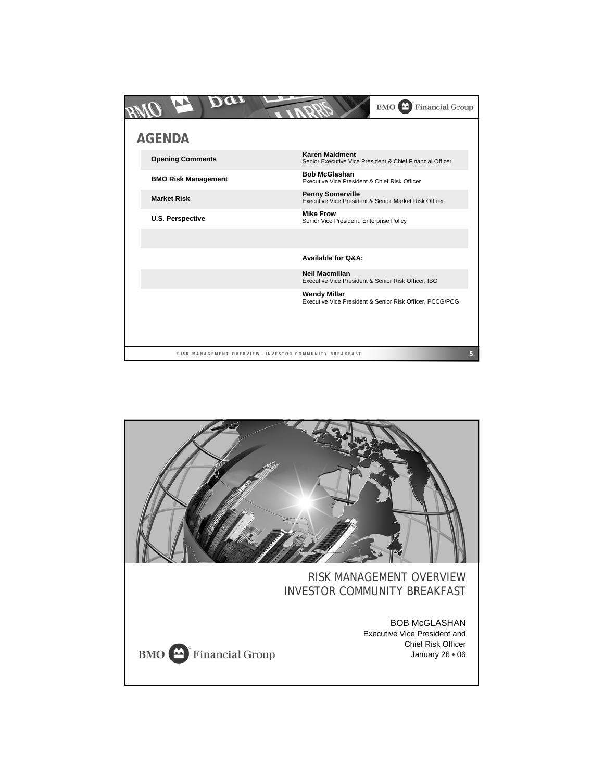|                            |                                                         | <b>Financial Group</b><br><b>BMO</b>                                               |   |
|----------------------------|---------------------------------------------------------|------------------------------------------------------------------------------------|---|
| <b>AGENDA</b>              |                                                         |                                                                                    |   |
| <b>Opening Comments</b>    |                                                         | <b>Karen Maidment</b><br>Senior Executive Vice President & Chief Financial Officer |   |
| <b>BMO Risk Management</b> |                                                         | <b>Bob McGlashan</b><br>Executive Vice President & Chief Risk Officer              |   |
| <b>Market Risk</b>         |                                                         | <b>Penny Somerville</b><br>Executive Vice President & Senior Market Risk Officer   |   |
| <b>U.S. Perspective</b>    |                                                         | <b>Mike Frow</b><br>Senior Vice President, Enterprise Policy                       |   |
|                            |                                                         |                                                                                    |   |
|                            |                                                         | Available for Q&A:                                                                 |   |
|                            |                                                         | <b>Neil Macmillan</b><br>Executive Vice President & Senior Risk Officer, IBG       |   |
|                            |                                                         | <b>Wendy Millar</b><br>Executive Vice President & Senior Risk Officer, PCCG/PCG    |   |
|                            |                                                         |                                                                                    |   |
|                            |                                                         |                                                                                    |   |
|                            | RISK MANAGEMENT OVERVIEW - INVESTOR COMMUNITY BREAKFAST |                                                                                    | 5 |

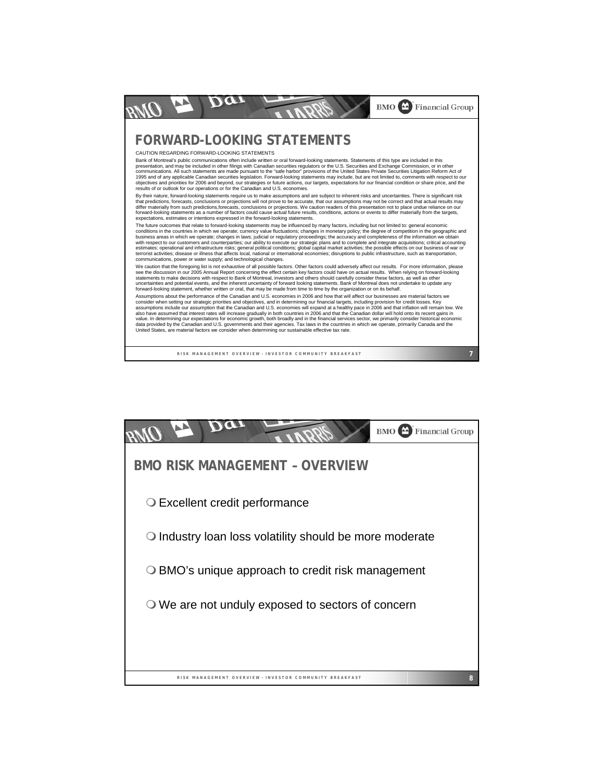

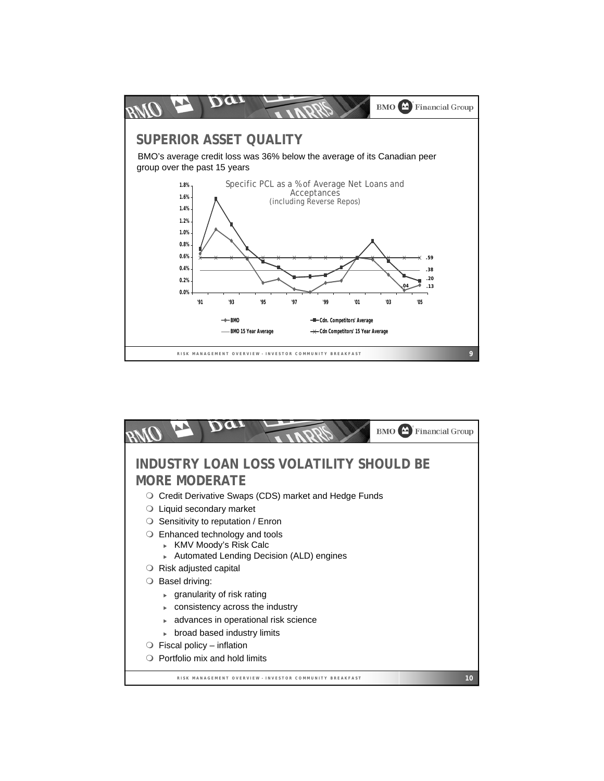

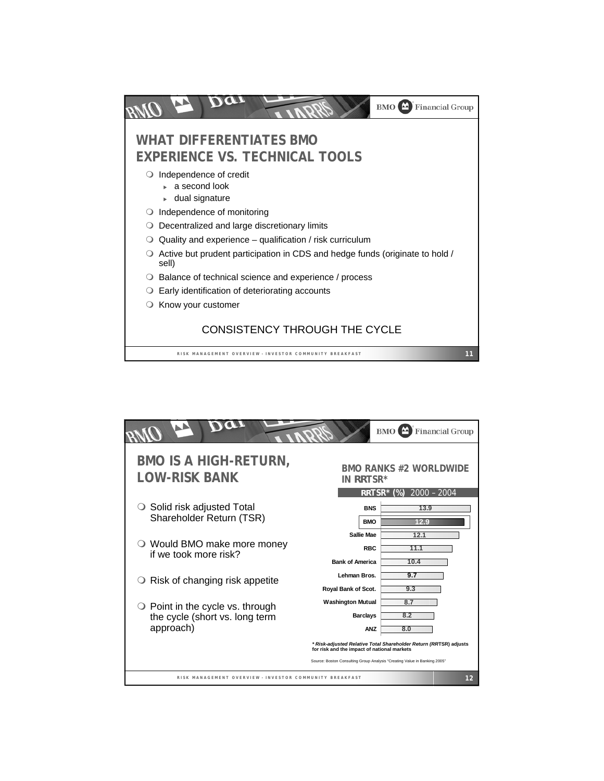

|                                                                                          |                                                                                                                          | <b>BMO</b> Financial Group                                        |
|------------------------------------------------------------------------------------------|--------------------------------------------------------------------------------------------------------------------------|-------------------------------------------------------------------|
| <b>BMO IS A HIGH-RETURN,</b><br>LOW-RISK BANK                                            | in <i>rr</i> tsr*                                                                                                        | <b>BMO RANKS #2 WORLDWIDE</b>                                     |
| Solid risk adjusted Total<br>Shareholder Return (TSR)                                    | <b>BNS</b><br><b>BMO</b>                                                                                                 | RRTSR* (%) 2000 - 2004<br>13.9<br>129                             |
| ○ Would BMO make more money<br>if we took more risk?                                     | Sallie Mae<br><b>RBC</b><br><b>Bank of America</b>                                                                       | 12.1<br>11.1<br>10.4                                              |
| Risk of changing risk appetite<br>$\cup$                                                 | Lehman Bros.<br>Royal Bank of Scot.                                                                                      | 9.7<br>9.3                                                        |
| $\bigcirc$ Point in the cycle vs. through<br>the cycle (short vs. long term<br>approach) | <b>Washington Mutual</b><br><b>Barclays</b><br>ANZ                                                                       | 8.7<br>8.2<br>8.0                                                 |
|                                                                                          | for risk and the impact of national markets<br>Source: Boston Consulting Group Analysis "Creating Value in Banking 2005" | * Risk-adjusted Relative Total Shareholder Return (RRTSR) adjusts |
| RISK MANAGEMENT OVERVIEW - INVESTOR COMMUNITY BREAKFAST                                  |                                                                                                                          | 12                                                                |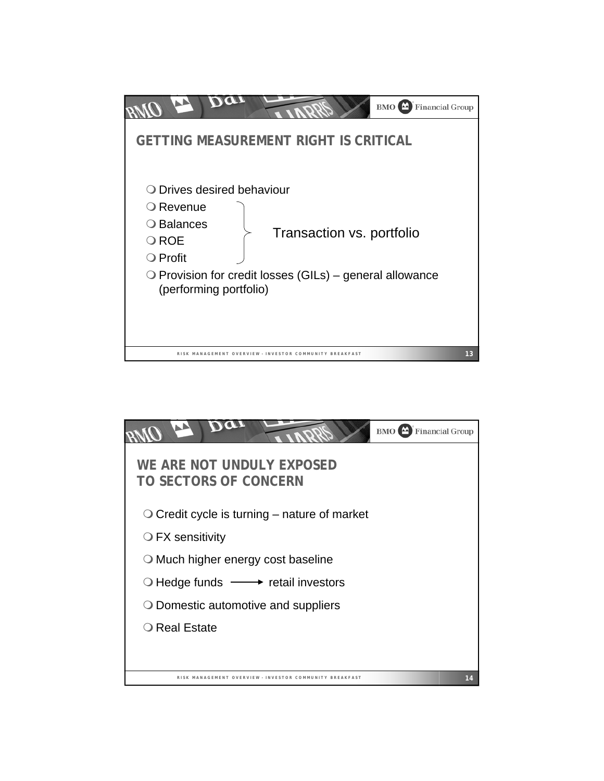

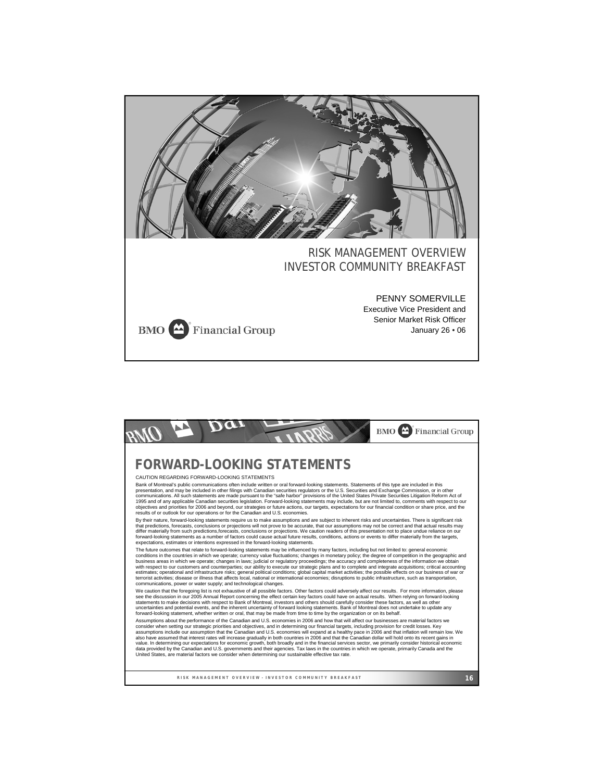

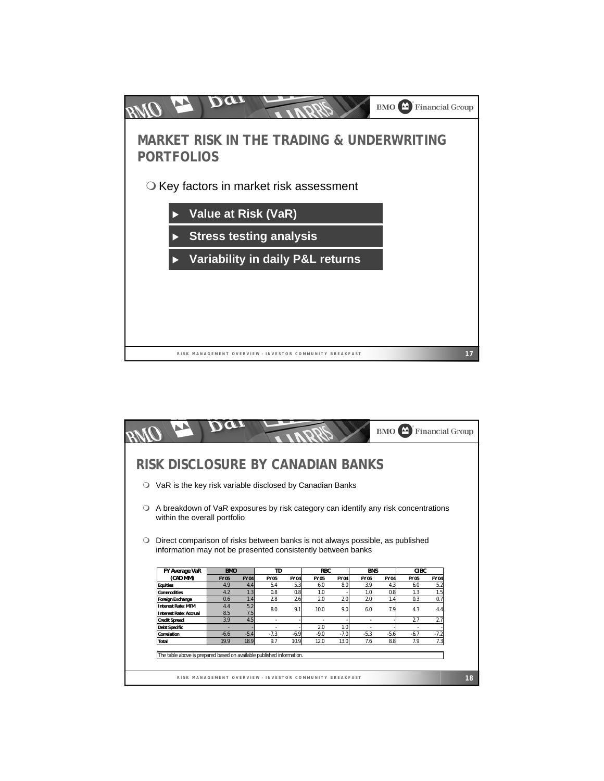

|                                                                                                                                                                              |            |             |        |        |            |             |            | $BMO$ <sup><math>\triangle</math></sup> |             | <b>Financial Group</b> |
|------------------------------------------------------------------------------------------------------------------------------------------------------------------------------|------------|-------------|--------|--------|------------|-------------|------------|-----------------------------------------|-------------|------------------------|
| RISK DISCLOSURE BY CANADIAN BANKS                                                                                                                                            |            |             |        |        |            |             |            |                                         |             |                        |
| VaR is the key risk variable disclosed by Canadian Banks                                                                                                                     |            |             |        |        |            |             |            |                                         |             |                        |
|                                                                                                                                                                              |            |             |        |        |            |             |            |                                         |             |                        |
| A breakdown of VaR exposures by risk category can identify any risk concentrations                                                                                           |            |             |        |        |            |             |            |                                         |             |                        |
| within the overall portfolio<br>Direct comparison of risks between banks is not always possible, as published<br>information may not be presented consistently between banks |            |             |        |        |            |             |            |                                         |             |                        |
|                                                                                                                                                                              | <b>BMO</b> |             | TD     |        | <b>RBC</b> |             | <b>BNS</b> |                                         | <b>CIBC</b> |                        |
| FY Average VaR<br>(CAD MM)                                                                                                                                                   | FY 05      | <b>FY04</b> | FY 05  | FY 04  | FY 05      | <b>FY04</b> | FY 05      | FY 04                                   | FY 05       | <b>FY04</b>            |
| <b>Equities</b>                                                                                                                                                              | 4.9        | 4.4         | 5.4    | 5.3    | 6.0        | 8.0         | 3.9        | 4.3                                     | 6.0         | 5.2                    |
| <b>Commodities</b>                                                                                                                                                           | 4.2        | 1.3         | 0.8    | 0.8    | 1.0        |             | 1.0        | 0.8                                     | 1.3         | 1.5                    |
| <b>Foreign Exchange</b>                                                                                                                                                      | 0.6        | 1.4         | 2.8    | 2.6    | 2.0        | 2.0         | 2.0        | 1.4                                     | 0.3         | 0.7                    |
| <b>Interest Rate: MTM</b><br><b>Interest Rate: Accrual</b>                                                                                                                   | 4.4<br>8.5 | 5.2<br>7.5  | 8.0    | 9.1    | 10.0       | 9.0         | 6.0        | 7.9                                     | 4.3         | 4.4                    |
| <b>Credit Spread</b>                                                                                                                                                         | 3.9        | 4.5         |        |        |            |             |            |                                         | 2.7         | 2.7                    |
| <b>Debt Specific</b>                                                                                                                                                         |            |             |        |        | 2.0        | 1.0         |            |                                         |             |                        |
| Correlation                                                                                                                                                                  | $-6.6$     | $-5.4$      | $-7.3$ | $-6.9$ | $-9.0$     | $-7.0$      | $-5.3$     | $-5.6$                                  | $-6.7$      | $-7.2$                 |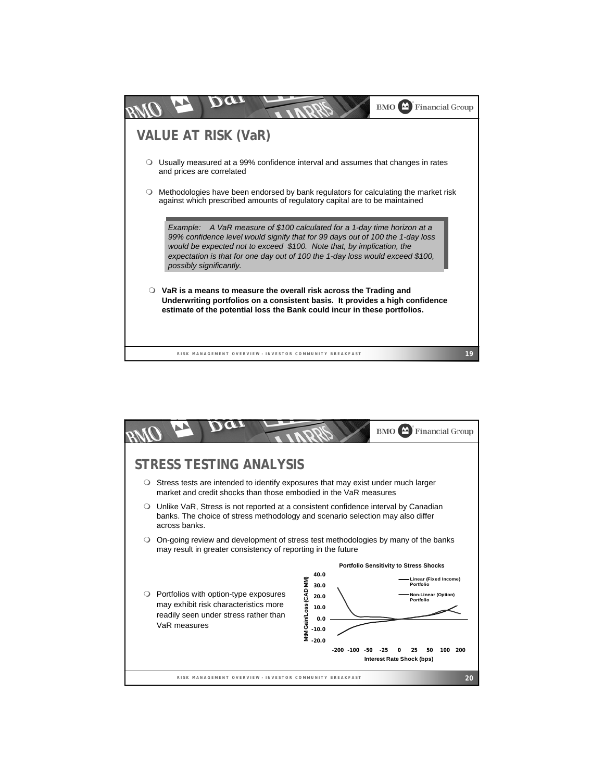

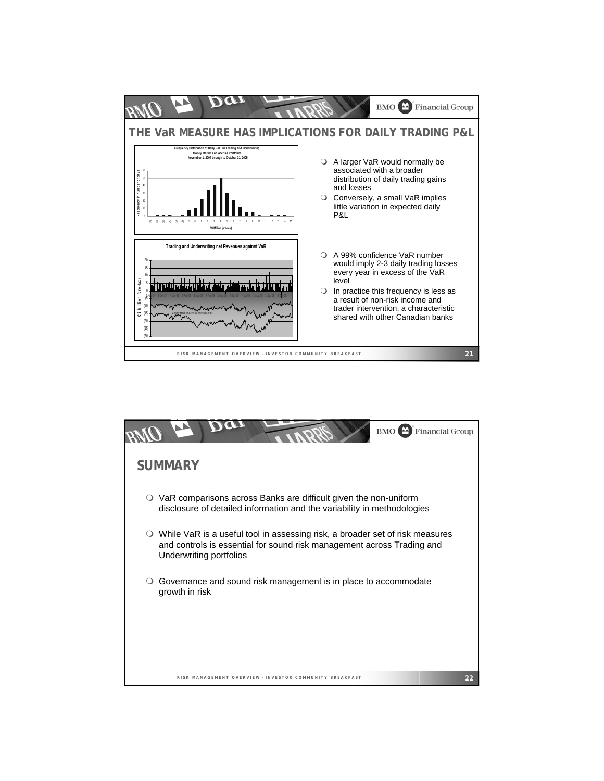

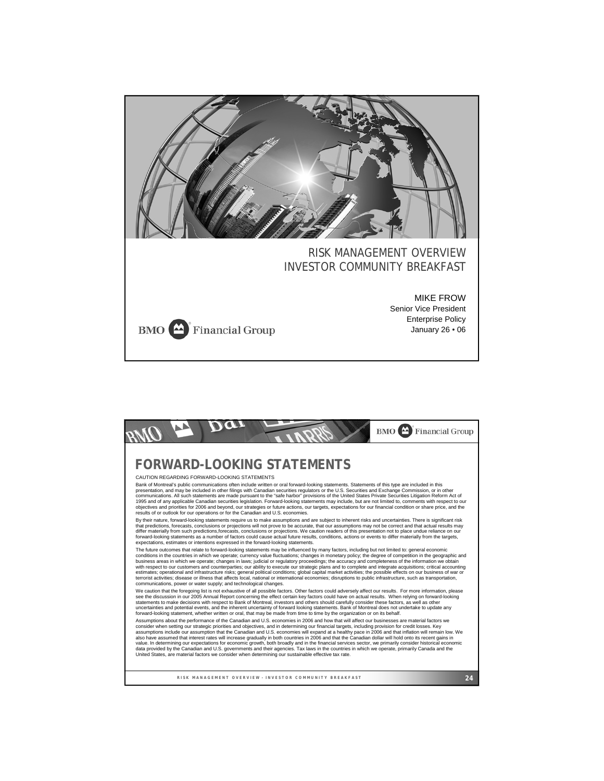

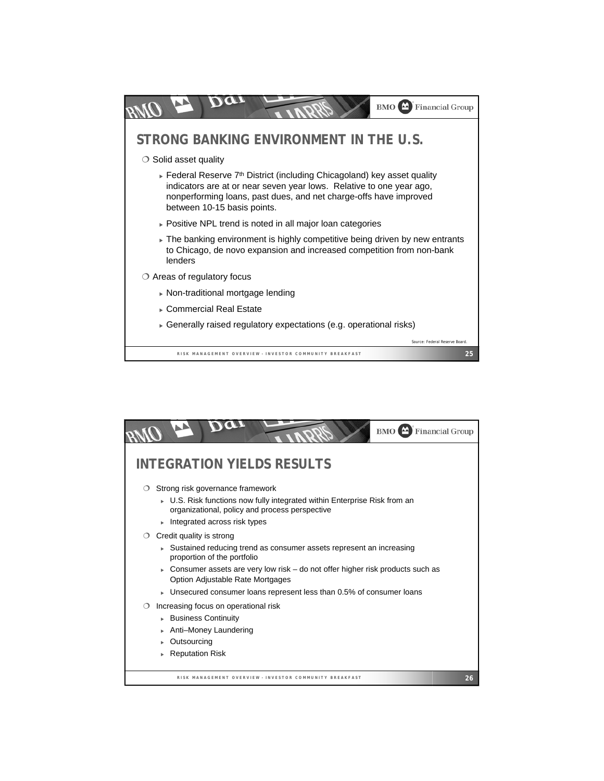

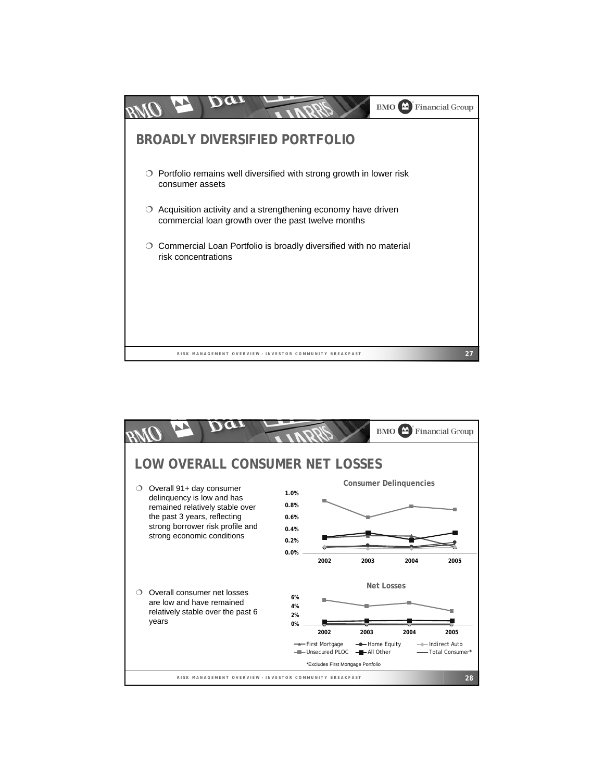

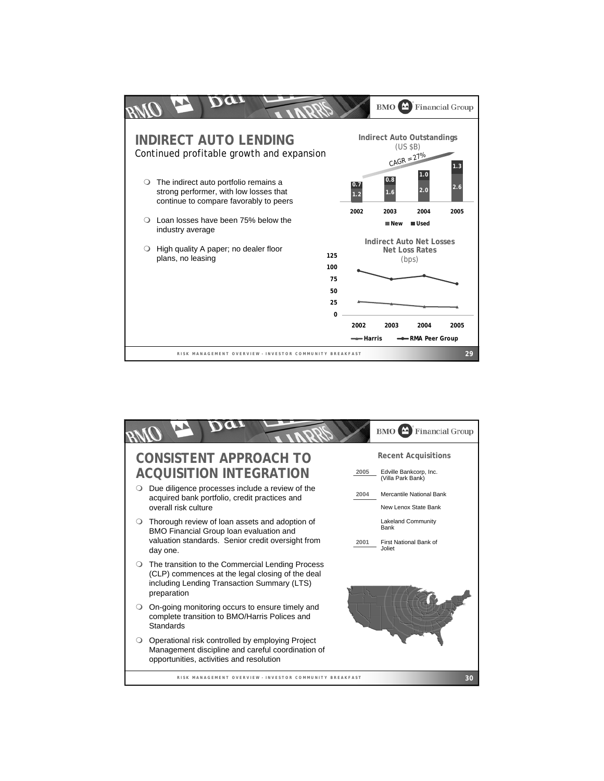

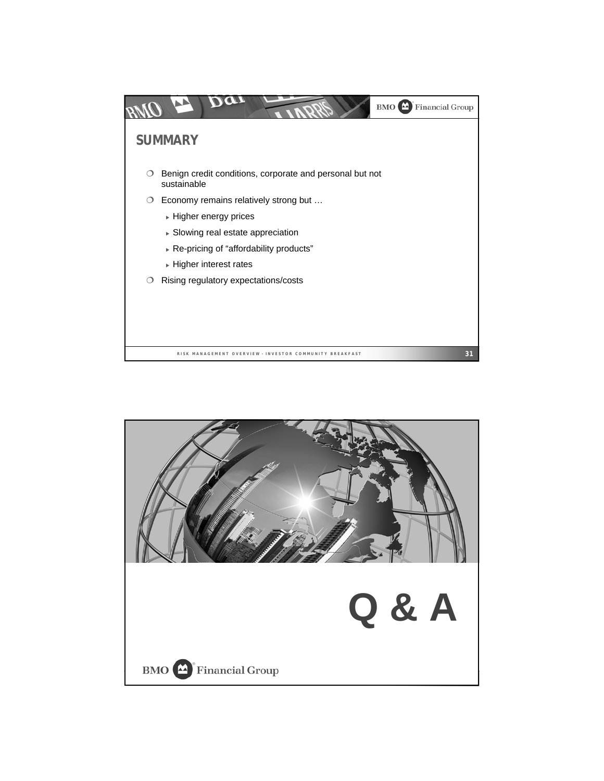